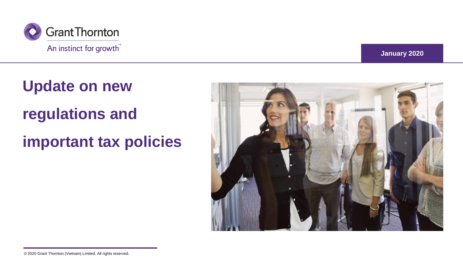

**January 2020**

# **Update on new regulations and**

**important tax policies**

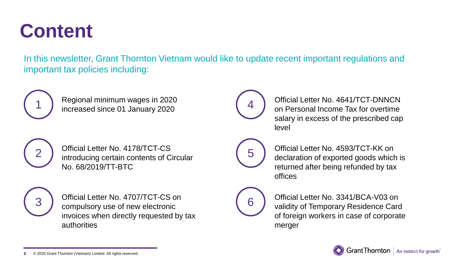## **Content**

In this newsletter, Grant Thornton Vietnam would like to update recent important regulations and important tax policies including:



Regional minimum wages in 2020 increased since 01 January 2020



Official Letter No. 4641/TCT-DNNCN on Personal Income Tax for overtime salary in excess of the prescribed cap level



Official Letter No. 4178/TCT-CS introducing certain contents of Circular No. 68/2019/TT-BTC



Official Letter No. 4707/TCT-CS on compulsory use of new electronic invoices when directly requested by tax authorities



Official Letter No. 4593/TCT-KK on declaration of exported goods which is returned after being refunded by tax offices



Official Letter No. 3341/BCA-V03 on validity of Temporary Residence Card of foreign workers in case of corporate merger

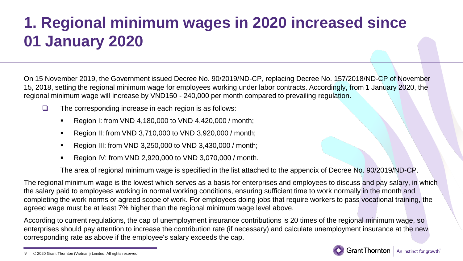### **1. Regional minimum wages in 2020 increased since 01 January 2020**

On 15 November 2019, the Government issued Decree No. 90/2019/ND-CP, replacing Decree No. 157/2018/ND-CP of November 15, 2018, setting the regional minimum wage for employees working under labor contracts. Accordingly, from 1 January 2020, the regional minimum wage will increase by VND150 - 240,000 per month compared to prevailing regulation.

- $\Box$  The corresponding increase in each region is as follows:
	- Region I: from VND 4,180,000 to VND 4,420,000 / month;
	- Region II: from VND 3,710,000 to VND 3,920,000 / month;
	- Region III: from VND 3,250,000 to VND 3,430,000 / month;
	- Region IV: from VND 2,920,000 to VND 3,070,000 / month.

The area of regional minimum wage is specified in the list attached to the appendix of Decree No. 90/2019/ND-CP.

The regional minimum wage is the lowest which serves as a basis for enterprises and employees to discuss and pay salary, in which the salary paid to employees working in normal working conditions, ensuring sufficient time to work normally in the month and completing the work norms or agreed scope of work. For employees doing jobs that require workers to pass vocational training, the agreed wage must be at least 7% higher than the regional minimum wage level above.

According to current regulations, the cap of unemployment insurance contributions is 20 times of the regional minimum wage, so enterprises should pay attention to increase the contribution rate (if necessary) and calculate unemployment insurance at the new corresponding rate as above if the employee's salary exceeds the cap.

<sup>© 2020</sup> Grant Thornton (Vietnam) Limited. All rights reserved. **3**

 $G$ rant Thornton  $|$  An instinct for growth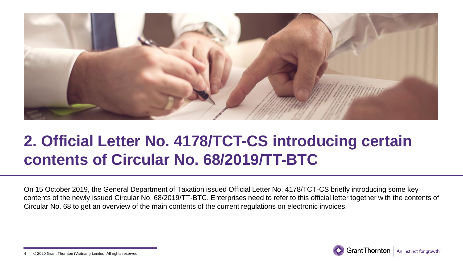

### **2. Official Letter No. 4178/TCT-CS introducing certain contents of Circular No. 68/2019/TT-BTC**

On 15 October 2019, the General Department of Taxation issued Official Letter No. 4178/TCT-CS briefly introducing some key contents of the newly issued Circular No. 68/2019/TT-BTC. Enterprises need to refer to this official letter together with the contents of Circular No. 68 to get an overview of the main contents of the current regulations on electronic invoices.



<sup>© 2020</sup> Grant Thornton (Vietnam) Limited. All rights reserved. **4**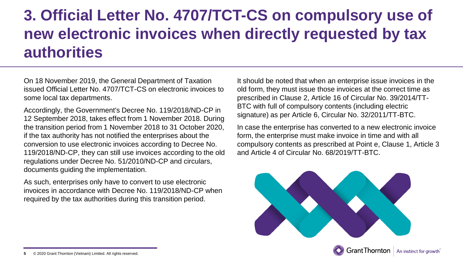### **3. Official Letter No. 4707/TCT-CS on compulsory use of new electronic invoices when directly requested by tax authorities**

On 18 November 2019, the General Department of Taxation issued Official Letter No. 4707/TCT-CS on electronic invoices to some local tax departments.

Accordingly, the Government's Decree No. 119/2018/ND-CP in 12 September 2018, takes effect from 1 November 2018. During the transition period from 1 November 2018 to 31 October 2020, if the tax authority has not notified the enterprises about the conversion to use electronic invoices according to Decree No. 119/2018/ND-CP, they can still use invoices according to the old regulations under Decree No. 51/2010/ND-CP and circulars, documents guiding the implementation.

As such, enterprises only have to convert to use electronic invoices in accordance with Decree No. 119/2018/ND-CP when required by the tax authorities during this transition period.

It should be noted that when an enterprise issue invoices in the old form, they must issue those invoices at the correct time as prescribed in Clause 2, Article 16 of Circular No. 39/2014/TT-BTC with full of compulsory contents (including electric signature) as per Article 6, Circular No. 32/2011/TT-BTC.

In case the enterprise has converted to a new electronic invoice form, the enterprise must make invoice in time and with all compulsory contents as prescribed at Point e, Clause 1, Article 3 and Article 4 of Circular No. 68/2019/TT-BTC.



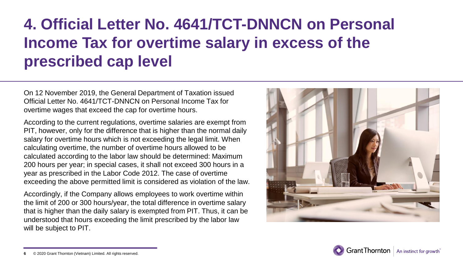### **4. Official Letter No. 4641/TCT-DNNCN on Personal Income Tax for overtime salary in excess of the prescribed cap level**

On 12 November 2019, the General Department of Taxation issued Official Letter No. 4641/TCT-DNNCN on Personal Income Tax for overtime wages that exceed the cap for overtime hours.

According to the current regulations, overtime salaries are exempt from PIT, however, only for the difference that is higher than the normal daily salary for overtime hours which is not exceeding the legal limit. When calculating overtime, the number of overtime hours allowed to be calculated according to the labor law should be determined: Maximum 200 hours per year; in special cases, it shall not exceed 300 hours in a year as prescribed in the Labor Code 2012. The case of overtime exceeding the above permitted limit is considered as violation of the law.

Accordingly, if the Company allows employees to work overtime within the limit of 200 or 300 hours/year, the total difference in overtime salary that is higher than the daily salary is exempted from PIT. Thus, it can be understood that hours exceeding the limit prescribed by the labor law will be subject to PIT.





<sup>© 2020</sup> Grant Thornton (Vietnam) Limited. All rights reserved. **6**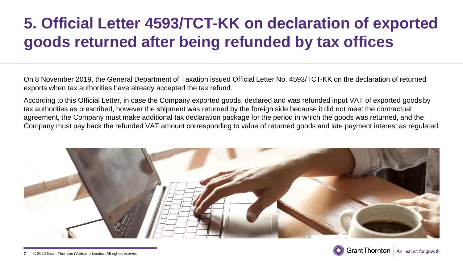### **5. Official Letter 4593/TCT-KK on declaration of exported goods returned after being refunded by tax offices**

On 8 November 2019, the General Department of Taxation issued Official Letter No. 4593/TCT-KK on the declaration of returned exports when tax authorities have already accepted the tax refund.

According to this Official Letter, in case the Company exported goods, declared and was refunded input VAT of exported goods by tax authorities as prescribed, however the shipment was returned by the foreign side because it did not meet the contractual agreement, the Company must make additional tax declaration package for the period in which the goods was returned, and the Company must pay back the refunded VAT amount corresponding to value of returned goods and late payment interest as regulated.



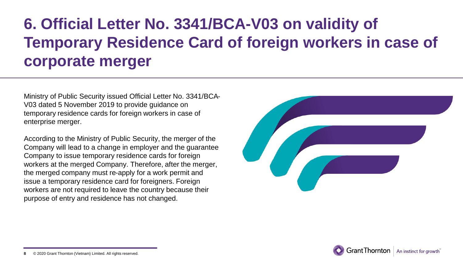### **6. Official Letter No. 3341/BCA-V03 on validity of Temporary Residence Card of foreign workers in case of corporate merger**

Ministry of Public Security issued Official Letter No. 3341/BCA-V03 dated 5 November 2019 to provide guidance on temporary residence cards for foreign workers in case of enterprise merger.

According to the Ministry of Public Security, the merger of the Company will lead to a change in employer and the guarantee Company to issue temporary residence cards for foreign workers at the merged Company. Therefore, after the merger, the merged company must re-apply for a work permit and issue a temporary residence card for foreigners. Foreign workers are not required to leave the country because their purpose of entry and residence has not changed.